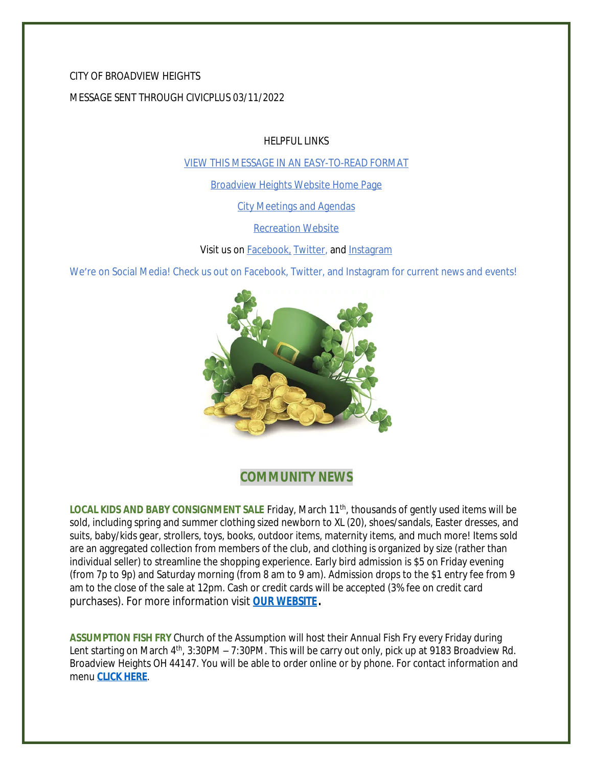### CITY OF BROADVIEW HEIGHTS

### MESSAGE SENT THROUGH CIVICPLUS 03/11/2022

HELPFUL LINKS

[VIEW THIS MESSAGE IN AN EASY-TO-READ FORMAT](https://www.broadview-heights.org/Archive.aspx?AMID=37)

[Broadview Heights Website Home Page](https://www.broadview-heights.org/)

[City Meetings and Agendas](https://www.broadview-heights.org/1126/Agendas-Meeting-Minutes)

[Recreation Website](https://broadview-heights.org/292/Parks-Recreation)

Visit us on **Facebook**, [Twitter,](https://twitter.com/broadviewhts) and [Instagram](https://www.instagram.com/cityofbroadviewheights/)

We're on Social Media! Check us out on Facebook, Twitter, and Instagram for current news and events!



## **COMMUNITY NEWS**

LOCAL KIDS AND BABY CONSIGNMENT SALE Friday, March 11<sup>th</sup>, thousands of gently used items will be sold, including spring and summer clothing sized newborn to XL (20), shoes/sandals, Easter dresses, and suits, baby/kids gear, strollers, toys, books, outdoor items, maternity items, and much more! Items sold are an aggregated collection from members of the club, and clothing is organized by size (rather than individual seller) to streamline the shopping experience. Early bird admission is \$5 on Friday evening (from 7p to 9p) and Saturday morning (from 8 am to 9 am). Admission drops to the \$1 entry fee from 9 am to the close of the sale at 12pm. Cash or credit cards will be accepted (3% fee on credit card purchases). For more information visit **[OUR WEBSITE.](https://broadview-heights.org/Calendar.aspx?EID=3746)**

**ASSUMPTION FISH FRY** Church of the Assumption will host their Annual Fish Fry every Friday during Lent starting on March 4<sup>th</sup>, 3:30PM – 7:30PM. This will be carry out only, pick up at 9183 Broadview Rd. Broadview Heights OH 44147. You will be able to order online or by phone. For contact information and menu **[CLICK HERE](https://broadview-heights.org/DocumentCenter/View/9222/fishfry)**.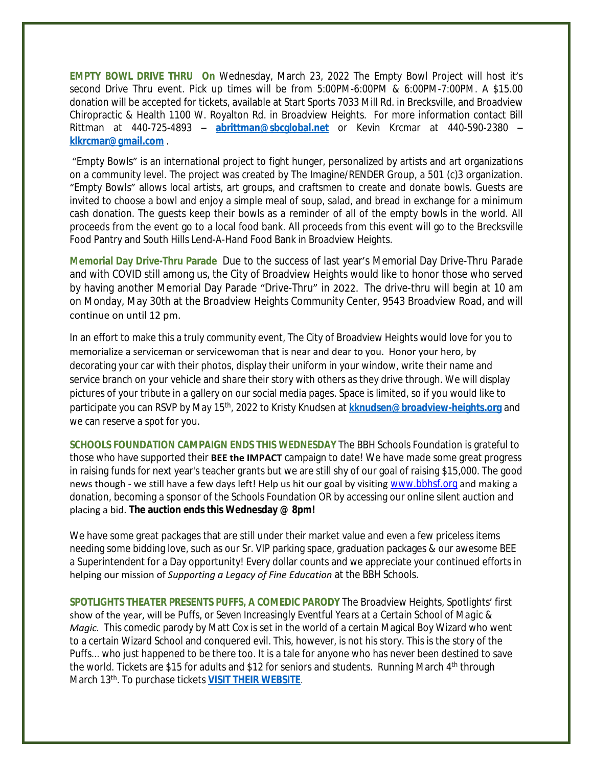**EMPTY BOWL DRIVE THRU On** Wednesday, March 23, 2022 The Empty Bowl Project will host it's second Drive Thru event. Pick up times will be from 5:00PM-6:00PM & 6:00PM-7:00PM. A \$15.00 donation will be accepted for tickets, available at Start Sports 7033 Mill Rd. in Brecksville, and Broadview Chiropractic & Health 1100 W. Royalton Rd. in Broadview Heights. For more information contact Bill Rittman at 440-725-4893 – **[abrittman@sbcglobal.net](mailto:abrittman@sbcglobal.net)** or Kevin Krcmar at 440-590-2380 – **[klkrcmar@gmail.com](mailto:klkrcmar@gmail.com)** .

"Empty Bowls" is an international project to fight hunger, personalized by artists and art organizations on a community level. The project was created by The Imagine/RENDER Group, a 501 (c)3 organization. "Empty Bowls" allows local artists, art groups, and craftsmen to create and donate bowls. Guests are invited to choose a bowl and enjoy a simple meal of soup, salad, and bread in exchange for a minimum cash donation. The guests keep their bowls as a reminder of all of the empty bowls in the world. All proceeds from the event go to a local food bank. All proceeds from this event will go to the Brecksville Food Pantry and South Hills Lend-A-Hand Food Bank in Broadview Heights.

**Memorial Day Drive-Thru Parade** Due to the success of last year's Memorial Day Drive-Thru Parade and with COVID still among us, the City of Broadview Heights would like to honor those who served by having another Memorial Day Parade "Drive-Thru" in 2022. The drive-thru will begin at 10 am on Monday, May 30th at the Broadview Heights Community Center, 9543 Broadview Road, and will continue on until 12 pm.

In an effort to make this a truly community event, The City of Broadview Heights would love for you to memorialize a serviceman or servicewoman that is near and dear to you. Honor your hero, by decorating your car with their photos, display their uniform in your window, write their name and service branch on your vehicle and share their story with others as they drive through. We will display pictures of your tribute in a gallery on our social media pages. Space is limited, so if you would like to participate you can RSVP by May 15th, 2022 to Kristy Knudsen at **[kknudsen@broadview-heights.org](mailto:kknudsen@broadview-heights.org)** and we can reserve a spot for you.

**SCHOOLS FOUNDATION CAMPAIGN ENDS THIS WEDNESDAY** The BBH Schools Foundation is grateful to those who have supported their **BEE the IMPACT** campaign to date! We have made some great progress in raising funds for next year's teacher grants but we are still shy of our goal of raising \$15,000. The good news though - we still have a few days left! Help us hit our goal by visiting [www.bbhsf.org](http://www.bbhsf.org) and making a donation, becoming a sponsor of the Schools Foundation OR by accessing our online silent auction and placing a bid. **The auction ends this Wednesday @ 8pm!**

We have some great packages that are still under their market value and even a few priceless items needing some bidding love, such as our Sr. VIP parking space, graduation packages & our awesome BEE a Superintendent for a Day opportunity! Every dollar counts and we appreciate your continued efforts in helping our mission of *Supporting a Legacy of Fine Education* at the BBH Schools.

**SPOTLIGHTS THEATER PRESENTS PUFFS, A COMEDIC PARODY** The Broadview Heights, Spotlights' first show of the year, will be *Puffs*, *or Seven Increasingly Eventful Years at a Certain School of Magic & Magic.* This comedic parody by Matt Cox is set in the world of a certain Magical Boy Wizard who went to a certain Wizard School and conquered evil. This, however, is not his story. This is the story of the Puffs... who just happened to be there too. It is a tale for anyone who has never been destined to save the world. Tickets are \$15 for adults and \$12 for seniors and students. Running March 4<sup>th</sup> through March 13th. To purchase tickets **[VISIT THEIR WEBSITE](http://www.broadview-heights-spotlights.org/theater/)**.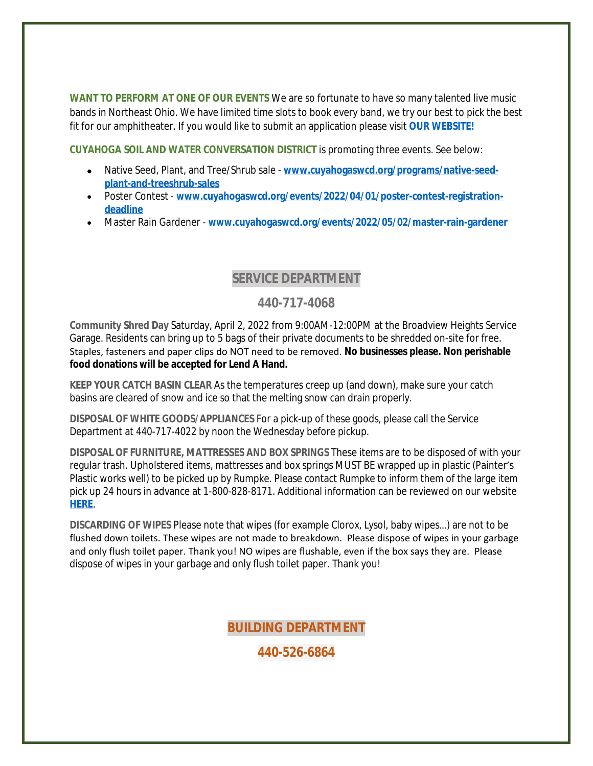**WANT TO PERFORM AT ONE OF OUR EVENTS** We are so fortunate to have so many talented live music bands in Northeast Ohio. We have limited time slots to book every band, we try our best to pick the best fit for our amphitheater. If you would like to submit an application please visit **[OUR WEBSITE!](https://broadview-heights.org/FormCenter/Mayors-Office-14/Band-Inquiry-Form-122)**

**CUYAHOGA SOIL AND WATER CONVERSATION DISTRICT** is promoting three events. See below:

- Native Seed, Plant, and Tree/Shrub sale [www.cuyahogaswcd.org/programs/native-seed](http://www.cuyahogaswcd.org/programs/native-seed-plant-and-treeshrub-sales)**plant-and-treeshrub-sales**
- Poster Contest **[www.cuyahogaswcd.org/events/2022/04/01/poster-contest-registration](http://www.cuyahogaswcd.org/events/2022/04/01/poster-contest-registration-deadline)deadline**
- Master Rain Gardener **[www.cuyahogaswcd.org/events/2022/05/02/master-rain-gardener](http://www.cuyahogaswcd.org/events/2022/05/02/master-rain-gardener)**

### **SERVICE DEPARTMENT**

### **440-717-4068**

**Community Shred Day** Saturday, April 2, 2022 from 9:00AM-12:00PM at the Broadview Heights Service Garage. Residents can bring up to 5 bags of their private documents to be shredded on-site for free. Staples, fasteners and paper clips do NOT need to be removed. **No businesses please. Non perishable food donations will be accepted for Lend A Hand.**

**KEEP YOUR CATCH BASIN CLEAR** As the temperatures creep up (and down), make sure your catch basins are cleared of snow and ice so that the melting snow can drain properly.

**DISPOSAL OF WHITE GOODS/APPLIANCES** For a pick-up of these goods, please call the Service Department at 440-717-4022 by noon the Wednesday before pickup.

**DISPOSAL OF FURNITURE, MATTRESSES AND BOX SPRINGS** These items are to be disposed of with your regular trash. Upholstered items, mattresses and box springs MUST BE wrapped up in plastic (Painter's Plastic works well) to be picked up by Rumpke. Please contact Rumpke to inform them of the large item pick up 24 hours in advance at 1-800-828-8171. Additional information can be reviewed on our website **[HERE](https://www.broadview-heights.org/1027/Garbage-Recycling)**.

**DISCARDING OF WIPES** Please note that wipes (for example Clorox, Lysol, baby wipes…) are not to be flushed down toilets. These wipes are not made to breakdown. Please dispose of wipes in your garbage and only flush toilet paper. Thank you! NO wipes are flushable, even if the box says they are. Please dispose of wipes in your garbage and only flush toilet paper. Thank you!

### **BUILDING DEPARTMENT**

**440-526-6864**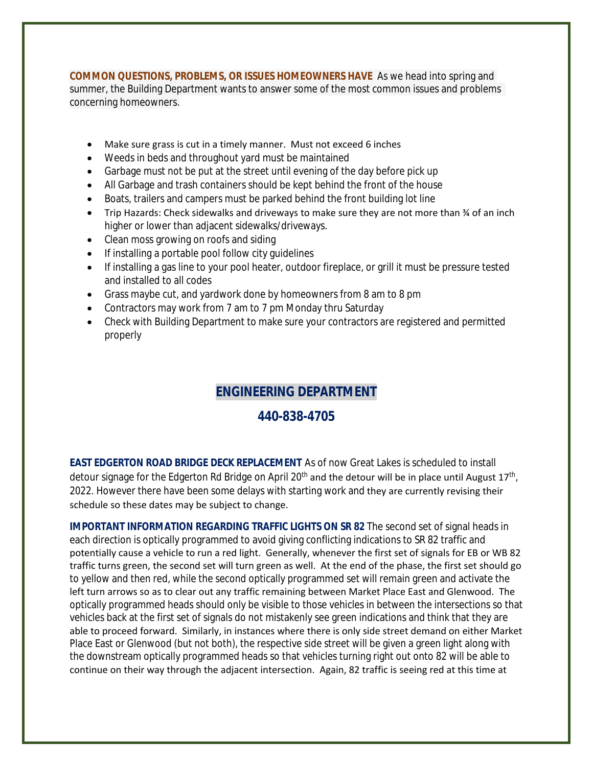**COMMON QUESTIONS, PROBLEMS, OR ISSUES HOMEOWNERS HAVE** As we head into spring and summer, the Building Department wants to answer some of the most common issues and problems concerning homeowners.

- Make sure grass is cut in a timely manner. Must not exceed 6 inches
- Weeds in beds and throughout yard must be maintained
- Garbage must not be put at the street until evening of the day before pick up
- All Garbage and trash containers should be kept behind the front of the house
- Boats, trailers and campers must be parked behind the front building lot line
- Trip Hazards: Check sidewalks and driveways to make sure they are not more than ¾ of an inch higher or lower than adjacent sidewalks/driveways.
- Clean moss growing on roofs and siding
- If installing a portable pool follow city quidelines
- If installing a gas line to your pool heater, outdoor fireplace, or grill it must be pressure tested and installed to all codes
- Grass maybe cut, and yardwork done by homeowners from 8 am to 8 pm
- Contractors may work from 7 am to 7 pm Monday thru Saturday
- Check with Building Department to make sure your contractors are registered and permitted properly

# **ENGINEERING DEPARTMENT**

### **440-838-4705**

**EAST EDGERTON ROAD BRIDGE DECK REPLACEMENT** As of now Great Lakes is scheduled to install detour signage for the Edgerton Rd Bridge on April 20<sup>th</sup> and the detour will be in place until August 17<sup>th</sup>, 2022. However there have been some delays with starting work and they are currently revising their schedule so these dates may be subject to change.

**IMPORTANT INFORMATION REGARDING TRAFFIC LIGHTS ON SR 82** The second set of signal heads in each direction is optically programmed to avoid giving conflicting indications to SR 82 traffic and potentially cause a vehicle to run a red light. Generally, whenever the first set of signals for EB or WB 82 traffic turns green, the second set will turn green as well. At the end of the phase, the first set should go to yellow and then red, while the second optically programmed set will remain green and activate the left turn arrows so as to clear out any traffic remaining between Market Place East and Glenwood. The optically programmed heads should only be visible to those vehicles in between the intersections so that vehicles back at the first set of signals do not mistakenly see green indications and think that they are able to proceed forward. Similarly, in instances where there is only side street demand on either Market Place East or Glenwood (but not both), the respective side street will be given a green light along with the downstream optically programmed heads so that vehicles turning right out onto 82 will be able to continue on their way through the adjacent intersection. Again, 82 traffic is seeing red at this time at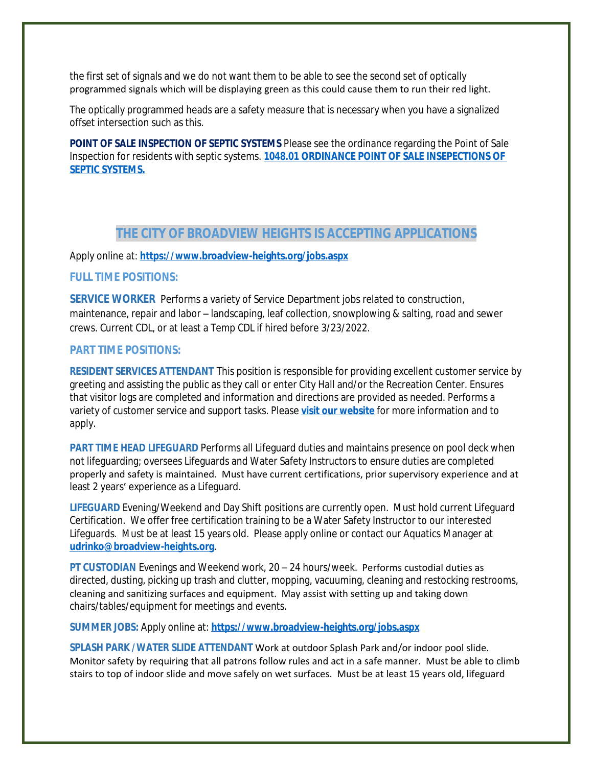the first set of signals and we do not want them to be able to see the second set of optically programmed signals which will be displaying green as this could cause them to run their red light.

The optically programmed heads are a safety measure that is necessary when you have a signalized offset intersection such as this.

**POINT OF SALE INSPECTION OF SEPTIC SYSTEMS** Please see the ordinance regarding the Point of Sale Inspection for residents with septic systems. **[1048.01 ORDINANCE POINT OF SALE INSEPECTIONS OF](https://codelibrary.amlegal.com/codes/broadviewhts/latest/broadview_oh/0-0-0-13398)  SEPTIC SYSTEMS.**

### **THE CITY OF BROADVIEW HEIGHTS IS ACCEPTING APPLICATIONS**

#### Apply online at: **<https://www.broadview-heights.org/jobs.aspx>**

#### **FULL TIME POSITIONS:**

**SERVICE WORKER** Performs a variety of Service Department jobs related to construction, maintenance, repair and labor – landscaping, leaf collection, snowplowing & salting, road and sewer crews. Current CDL, or at least a Temp CDL if hired before 3/23/2022.

#### **PART TIME POSITIONS:**

**RESIDENT SERVICES ATTENDANT** This position is responsible for providing excellent customer service by greeting and assisting the public as they call or enter City Hall and/or the Recreation Center. Ensures that visitor logs are completed and information and directions are provided as needed. Performs a variety of customer service and support tasks. Please **[visit our website](https://www.broadview-heights.org/Jobs.aspx?UniqueId=98&From=98&CommunityJobs=False&JobID=Resident-Services-Attendant-135)** for more information and to apply.

**PART TIME HEAD LIFEGUARD** Performs all Lifeguard duties and maintains presence on pool deck when not lifeguarding; oversees Lifeguards and Water Safety Instructors to ensure duties are completed properly and safety is maintained. Must have current certifications, prior supervisory experience and at least 2 years' experience as a Lifeguard.

**LIFEGUARD** Evening/Weekend and Day Shift positions are currently open. Must hold current Lifeguard Certification. We offer free certification training to be a Water Safety Instructor to our interested Lifeguards. Must be at least 15 years old. Please apply online or contact our Aquatics Manager at **[udrinko@broadview-heights.org](mailto:udrinko@broadview-heights.org)**.

**PT CUSTODIAN** Evenings and Weekend work, 20 – 24 hours/week. Performs custodial duties as directed, dusting, picking up trash and clutter, mopping, vacuuming, cleaning and restocking restrooms, cleaning and sanitizing surfaces and equipment. May assist with setting up and taking down chairs/tables/equipment for meetings and events.

**SUMMER JOBS:** Apply online at: **<https://www.broadview-heights.org/jobs.aspx>**

**SPLASH PARK /WATER SLIDE ATTENDANT** Work at outdoor Splash Park and/or indoor pool slide. Monitor safety by requiring that all patrons follow rules and act in a safe manner. Must be able to climb stairs to top of indoor slide and move safely on wet surfaces. Must be at least 15 years old, lifeguard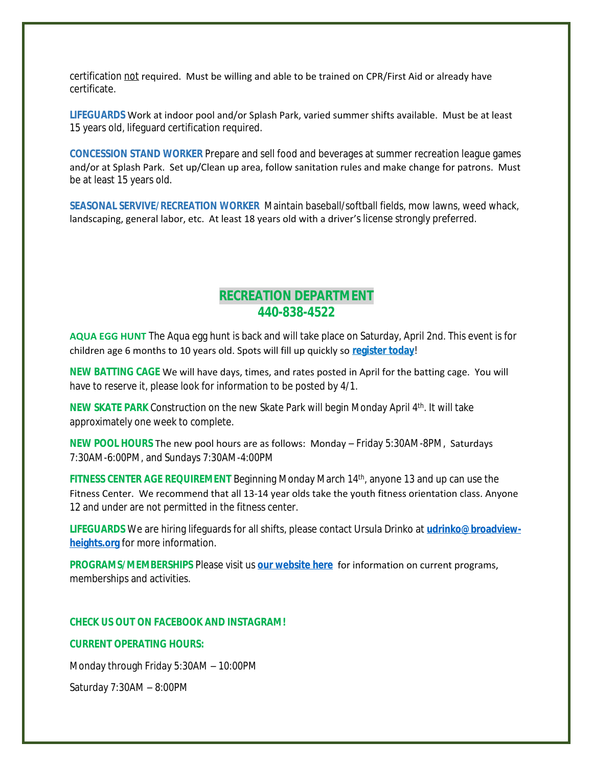certification not required. Must be willing and able to be trained on CPR/First Aid or already have certificate.

**LIFEGUARDS** Work at indoor pool and/or Splash Park, varied summer shifts available. Must be at least 15 years old, lifeguard certification required.

**CONCESSION STAND WORKER** Prepare and sell food and beverages at summer recreation league games and/or at Splash Park. Set up/Clean up area, follow sanitation rules and make change for patrons. Must be at least 15 years old.

**SEASONAL SERVIVE/RECREATION WORKER** Maintain baseball/softball fields, mow lawns, weed whack, landscaping, general labor, etc. At least 18 years old with a driver's license strongly preferred.

## **RECREATION DEPARTMENT 440-838-4522**

**AQUA EGG HUNT** The Aqua egg hunt is back and will take place on Saturday, April 2nd. This event is for children age 6 months to 10 years old. Spots will fill up quickly so **[register today](https://web1.myvscloud.com/wbwsc/ohbroadviewheightswt.wsc/search.html?module=AR&Type=FDD,EVENT)**!

**NEW BATTING CAGE** We will have days, times, and rates posted in April for the batting cage. You will have to reserve it, please look for information to be posted by 4/1.

**NEW SKATE PARK** Construction on the new Skate Park will begin Monday April 4<sup>th</sup>. It will take approximately one week to complete.

**NEW POOL HOURS** The new pool hours are as follows: Monday – Friday 5:30AM-8PM, Saturdays 7:30AM-6:00PM, and Sundays 7:30AM-4:00PM

**FITNESS CENTER AGE REQUIREMENT** Beginning Monday March 14<sup>th</sup>, anyone 13 and up can use the Fitness Center. We recommend that all 13-14 year olds take the youth fitness orientation class. Anyone 12 and under are not permitted in the fitness center.

**LIFEGUARDS** We are hiring lifeguards for all shifts, please contact Ursula Drinko at **[udrinko@broadview](mailto:udrinko@broadview-heights.org)heights.org** for more information.

**PROGRAMS/MEMBERSHIPS** Please visit us **[our website here](https://www.broadview-heights.org/292/Parks-Recreation)** for information on current programs, memberships and activities.

#### **CHECK US OUT ON FACEBOOK AND INSTAGRAM!**

#### **CURRENT OPERATING HOURS:**

Monday through Friday 5:30AM – 10:00PM

Saturday 7:30AM – 8:00PM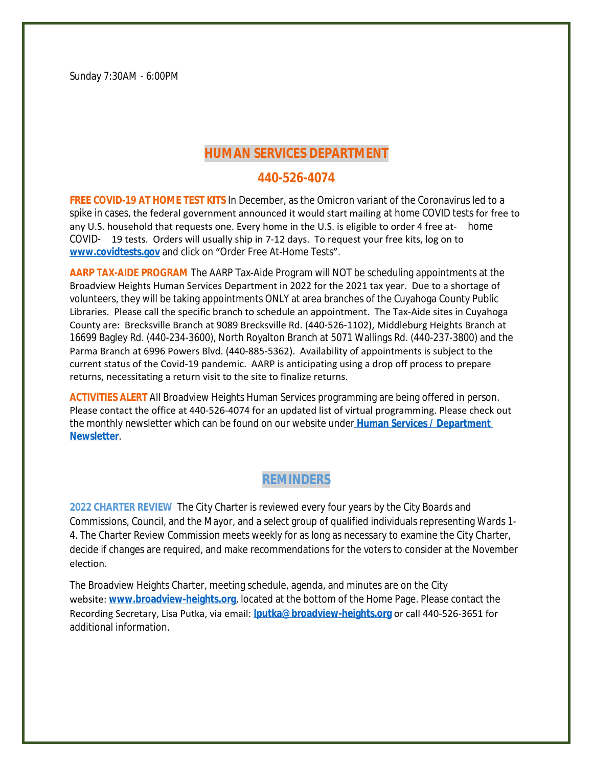Sunday 7:30AM - 6:00PM

## **HUMAN SERVICES DEPARTMENT**

### **440-526-4074**

**FREE COVID-19 AT HOME TEST KITS** In December, as the Omicron variant of the Coronavirus led to a spike in cases, the federal government announced it would start mailing at home COVID tests for free to any U.S. household that requests one. Every home in the U.S. is eligible to order 4 free at- home COVID- 19 tests. Orders will usually ship in 7-12 days. To request your free kits, log on to **[www.covidtests.gov](http://www.covidtests.gov)** and click on "Order Free At-Home Tests".

**AARP TAX-AIDE PROGRAM** The AARP Tax-Aide Program will NOT be scheduling appointments at the Broadview Heights Human Services Department in 2022 for the 2021 tax year. Due to a shortage of volunteers, they will be taking appointments ONLY at area branches of the Cuyahoga County Public Libraries. Please call the specific branch to schedule an appointment. The Tax-Aide sites in Cuyahoga County are: Brecksville Branch at 9089 Brecksville Rd. (440-526-1102), Middleburg Heights Branch at 16699 Bagley Rd. (440-234-3600), North Royalton Branch at 5071 Wallings Rd. (440-237-3800) and the Parma Branch at 6996 Powers Blvd. (440-885-5362). Availability of appointments is subject to the current status of the Covid-19 pandemic. AARP is anticipating using a drop off process to prepare returns, necessitating a return visit to the site to finalize returns.

**ACTIVITIES ALERT** All Broadview Heights Human Services programming are being offered in person. Please contact the office at 440-526-4074 for an updated list of virtual programming. Please check out the monthly newsletter which can be found on our website under **[Human Services / Department](https://mycommunityonline.com/find/broadview-heights-senior-center)  Newsletter**.

## **REMINDERS**

**2022 CHARTER REVIEW** The City Charter is reviewed every four years by the City Boards and Commissions, Council, and the Mayor, and a select group of qualified individuals representing Wards 1- 4. The Charter Review Commission meets weekly for as long as necessary to examine the City Charter, decide if changes are required, and make recommendations for the voters to consider at the November election.

The Broadview Heights Charter, meeting schedule, agenda, and minutes are on the City website: **[www.broadview-heights.org](http://www.broadview-heights.org/)**, located at the bottom of the Home Page. Please contact the Recording Secretary, Lisa Putka, via email: **[lputka@broadview-heights.org](mailto:lputka@broadview-heights.org)** or call 440-526-3651 for additional information.